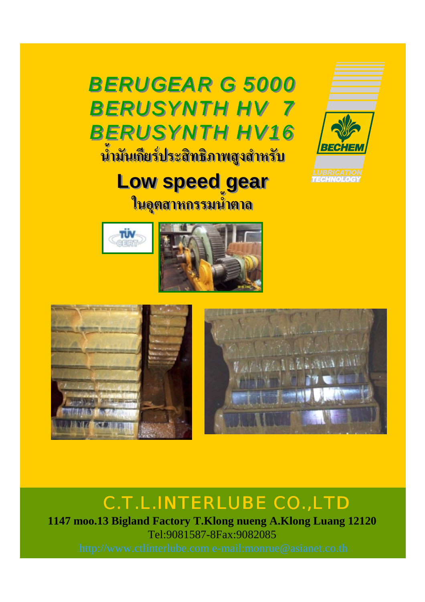*BERUGEAR G 5000 BERUGEAR G 5000 BERUSYNTH HV 7 BERUSYNTH HV 7 BERUSYNTH HV16 BERUSYNTH HV16* **น้ํามันเกียรประสิทธิภาพสูงสําหรับ น้ํามันเกียรประสิทธิภาพสูงสําหรับ**



# **Low speed gear Low speed gear**

**ในอุตสาหกรรมน้ําตาล ในอุตสาหกรรมน้ําตาล**





## C.T.L.INTERLUBE CO.,LTD

**1147 moo.13 Bigland Factory T.Klong nueng A.Klong Luang 12120** Tel:9081587-8Fax:9082085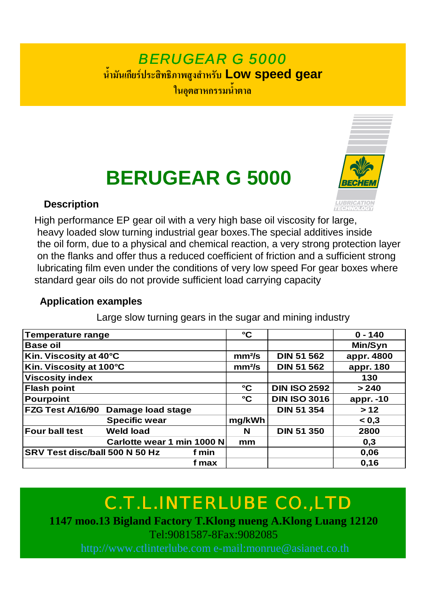## *BERUGEAR G 5000* **น้ํามันเกียรประสิทธิภาพสูงสําหรับ Low speed gear ในอุตสาหกรรมน้ําตาล**

# **BERUGEAR G 5000**

### **Description**



High performance EP gear oil with a very high base oil viscosity for large, heavy loaded slow turning industrial gear boxes.The special additives inside the oil form, due to a physical and chemical reaction, a very strong protection layer on the flanks and offer thus a reduced coefficient of friction and a sufficient strong lubricating film even under the conditions of very low speed For gear boxes where standard gear oils do not provide sufficient load carrying capacity

### **Application examples**

Large slow turning gears in the sugar and mining industry

| <b>Temperature range</b>       |                            |       | $\rm ^{\circ}C$    |                     | $0 - 140$  |
|--------------------------------|----------------------------|-------|--------------------|---------------------|------------|
| <b>Base oil</b>                |                            |       |                    |                     | Min/Syn    |
| Kin. Viscosity at 40°C         |                            |       | mm <sup>2</sup> /s | <b>DIN 51 562</b>   | appr. 4800 |
| Kin. Viscosity at 100°C        |                            |       | $mm2$ /s           | <b>DIN 51 562</b>   | appr. 180  |
| <b>Viscosity index</b>         |                            |       |                    |                     | 130        |
| <b>Flash point</b>             |                            |       | $\rm ^{\circ}C$    | <b>DIN ISO 2592</b> | > 240      |
| <b>Pourpoint</b>               |                            |       | $\rm ^{\circ}C$    | <b>DIN ISO 3016</b> | appr. -10  |
| FZG Test A/16/90               | Damage load stage          |       |                    | <b>DIN 51 354</b>   | >12        |
|                                | <b>Specific wear</b>       |       | mg/kWh             |                     | 0,3        |
| <b>Four ball test</b>          | <b>Weld load</b>           |       | N                  | <b>DIN 51 350</b>   | 2800       |
|                                | Carlotte wear 1 min 1000 N |       | mm                 |                     | 0,3        |
| SRV Test disc/ball 500 N 50 Hz |                            | f min |                    |                     | 0,06       |
|                                |                            | f max |                    |                     | 0,16       |

# C.T.L.INTERLUBE CO.,LTD

**1147 moo.13 Bigland Factory T.Klong nueng A.Klong Luang 12120** Tel:9081587-8Fax:9082085

http://www.ctlinterlube.com e-mail:monrue@asianet.co.th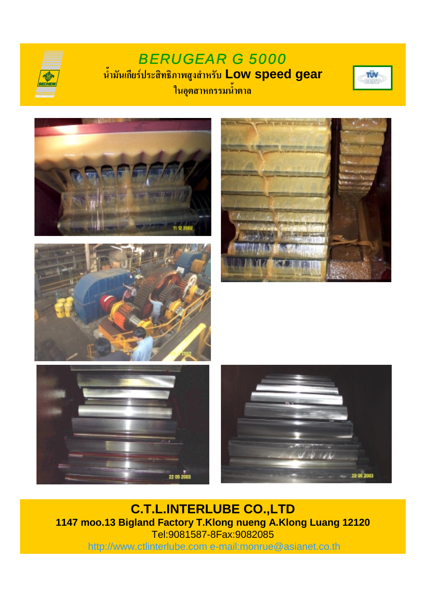## *BERUGEAR G 5000* **น้ํามันเกียรประสิทธิภาพสูงสําหรับ Low speed gear ในอุตสาหกรรมน้ําตาล**













**C.T.L.INTERLUBE CO.,LTD 1147 moo.13 Bigland Factory T.Klong nueng A.Klong Luang 12120** Tel:9081587-8Fax:9082085 http://www.ctlinterlube.com e-mail:monrue@asianet.co.th